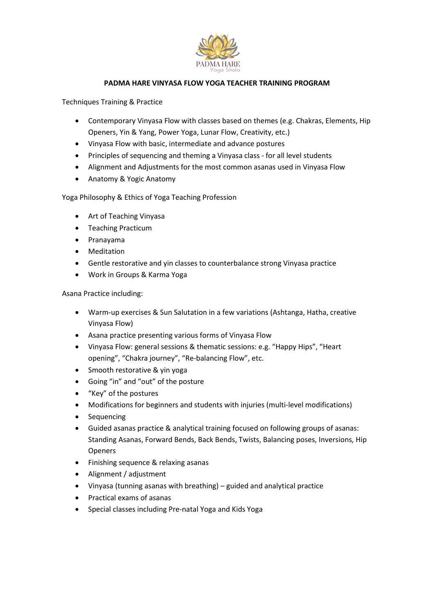

## PADMA HARE VINYASA FLOW YOGA TEACHER TRAINING PROGRAM

Techniques Training & Practice

- Contemporary Vinyasa Flow with classes based on themes (e.g. Chakras, Elements, Hip<br>
Openers, Yin & Yang, Power Yoga, Lunar Flow, Creativity, etc.)<br>
 Vinyasa Flow with basic, intermediate and advance postures<br>
 Princi Openers, Yin & Yang, Power Yoga, Lunar Flow, Creativity, etc.)
- Vinyasa Flow with basic, intermediate and advance postures
- Principles of sequencing and theming a Vinyasa class for all level students
- Alignment and Adjustments for the most common asanas used in Vinyasa Flow
- Anatomy & Yogic Anatomy

Yoga Philosophy & Ethics of Yoga Teaching Profession

- Art of Teaching Vinyasa
- Teaching Practicum
- Pranayama
- Meditation
- Gentle restorative and yin classes to counterbalance strong Vinyasa practice
- Work in Groups & Karma Yoga

Asana Practice including:

- Warm-up exercises & Sun Salutation in a few variations (Asht Vinyasa Flow) Anatomy & Yogic Anatomy<br>ilosophy & Ethics of Yoga Teaching Profession<br>Art of Teaching Vinyasa<br>Teaching Practicum<br>Pranayama<br>Meditation<br>Gentle restorative and yin classes to counterbalance strong Vinyasa practice<br>Work in Gro
- Asana practice presenting various forms of Vinyasa Flow
- Vinyasa Flow: general sessions & thematic sessions: e.g. "Happy Hips", "Heart opening", "Chakra journey", "Re-balancing Flow", etc.
- Smooth restorative & yin yoga
- Going "in" and "out" of the posture
- "Key" of the postures
- Modifications for beginners and students with injuries (multi-level modifications)
- Sequencing
- Guided asanas practice & analytical training focused on following groups of asanas: of asanas: Standing Asanas, Forward Bends, Back Bends, Twists, Balancing poses Openers anga, Hatha, creative<br>ppy Hips", "Heart<br>-level modifications)<br>wing groups of asanas:<br>ng poses, Inversions, Hip
- Finishing sequence & relaxing asanas
- Alignment / adjustment
- Alignment / adjustment<br>• Vinyasa (tunning asanas with breathing) guided and analytical practice
- Practical exams of asanas
- Practical exams of asanas<br>• Special classes including Pre-natal Yoga and Kids Yoga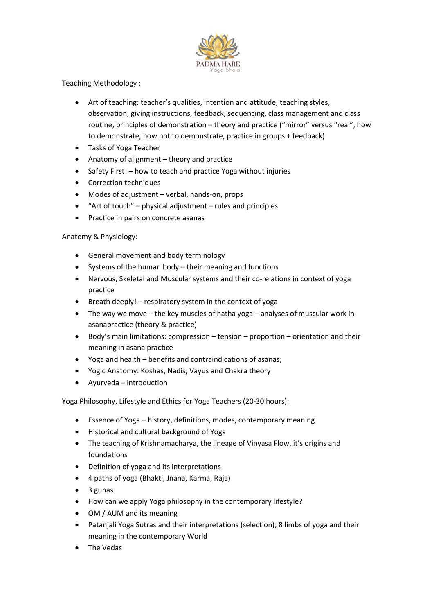

Teaching Methodology :

- Art of teaching: teacher's qualities, intention and attitude, teaching styles, observation, giving instructions, feedback, sequencing, class management and class routine, principles of demonstration – theory and practice ("mirror" versus "real", how to demonstrate, how not to demonstrate, practice in groups + feedback)<br>Tasks of Yoga Teacher<br>Anatomy of alignment – theory and practice
- Tasks of Yoga Teacher
- Anatomy of alignment theory and practice
- Safety First! how to teach and practice Yoga without injuries
- Correction techniques
- Modes of adjustment verbal, hands-on, props
- "Art of touch" physical adjustment rules and principles
- Practice in pairs on concrete asanas

## Anatomy & Physiology:

- General movement and body terminology
- Practice in pairs on concrete asanas<br>
tomy & Physiology:<br>• General movement and body terminology<br>• Systems of the human body their meaning and functions
- Nervous, Skeletal and Muscular systems and their co-relations in context of yoga practice
- Breath deeply! respiratory system in the context of yoga
- Breath deeply! respiratory system in the context of yoga<br>● The way we move the key muscles of hatha yoga analyses of muscular work in asanapractice (theory & practice)
- asanapractice (theory & practice)<br>• Body's main limitations: compression tension proportion orientation and their meaning in asana practice on – tension – proportion – orientation<br>traindications of asanas;<br>us and Chakra theory<br>pga Teachers (20-30 hours):<br>ns, modes, contemporary meaning<br>of Yoga<br>the lineage of Vinyasa Flow, it's origins a
- meaning in asana practice<br>• Yoga and health benefits and contraindications of asanas;
- Yogic Anatomy: Koshas, Nadis, Vayus and Chakra theory
- Ayurveda introduction

Yoga Philosophy, Lifestyle and Ethics for Yoga Teachers (20-30 hours):

- Essence of Yoga history, definitions, modes, contemporary meaning
- Historical and cultural background of Yoga
- Historical and cultural background of Yoga<br>• The teaching of Krishnamacharya, the lineage of Vinyasa Flow, it's origins and foundations
- Definition of yoga and its interpretations
- 4 paths of yoga (Bhakti, Jnana, Karma, Raja)
- 3 gunas
- How can we apply Yoga philosophy in the contemporary lifestyle?
- OM / AUM and its meaning
- Patanjali Yoga Sutras and their interpretations (selection); 8 limbs of yoga and their meaning in the contemporary World 4 paths of yoga (Bhakti, Jnana, Karma, Raja)<br>3 gunas<br>How can we apply Yoga philosophy in the contemporary lifestyle?<br>OM / AUM and its meaning<br>Patanjali Yoga Sutras and their interpretations (selection); 8 limbs of<br>meaning
- The Vedas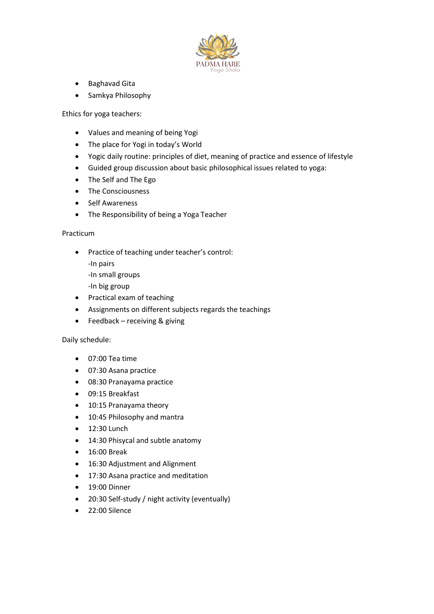

- **•** Baghavad Gita
- Samkya Philosophy

Ethics for yoga teachers:

- Values and meaning of being Yogi
- The place for Yogi in today's World
- Yogic daily routine: principles of diet, meaning of practice and essence of lifestyle es and meaning of being Yogi<br>place for Yogi in today's World<br>c daily routine: principles of diet, meaning of practice and essence of<br>led group discussion about basic philosophical issues related to yoga:
- Guided group discussion about basic philosophical issues related to yoga:
- The Self and The Ego
- The Consciousness
- Self Awareness
- The Responsibility of being a Yoga Teacher

## Practicum

- Practice of teaching under teacher's control: The Responsibility of being a Yoga Teacher<br>m<br>m<br>Practice of teaching under teacher's control:<br>-In pairs<br>-In small groups<br>Practical exam of teaching<br>Assignments on different subjects regards th<br>Feedback – receiving & giving<br>
	- -In pairs
	- -In small groups
	- -In big group
- Practical exam of teaching
- Assignments on different subjects regards the teachings
- Feedback receiving & giving

## Daily schedule:

- 07:00 Tea time
- 07:30 Asana practice
- 08:30 Pranayama practice
- 09:15 Breakfast
- 10:15 Pranayama theory
- 10:45 Philosophy and mantra
- $\bullet$  12:30 Lunch
- 14:30 Phisycal and subtle anatomy
- 16:00 Break
- 16:30 Adjustment and Alignment
- 17:30 Asana practice and meditation
- 19:00 Dinner
- 20:30 Self-study / night activity (eventually)
- 22:00 Silence